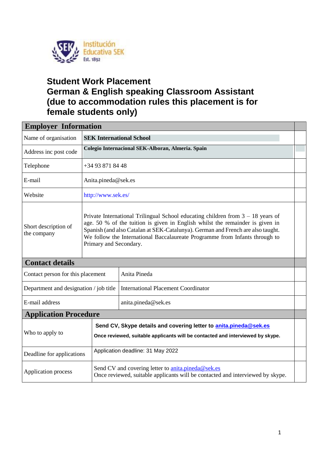

## **Student Work Placement German & English speaking Classroom Assistant (due to accommodation rules this placement is for female students only)**

| <b>Employer Information</b>            |                                   |                                                                                                                                                                                                                                                                                                                                                                |  |  |  |
|----------------------------------------|-----------------------------------|----------------------------------------------------------------------------------------------------------------------------------------------------------------------------------------------------------------------------------------------------------------------------------------------------------------------------------------------------------------|--|--|--|
| Name of organisation                   | <b>SEK International School</b>   |                                                                                                                                                                                                                                                                                                                                                                |  |  |  |
| Address inc post code                  |                                   | Colegio Internacional SEK-Alboran, Almeria. Spain                                                                                                                                                                                                                                                                                                              |  |  |  |
| Telephone                              |                                   | $+34938718448$                                                                                                                                                                                                                                                                                                                                                 |  |  |  |
| E-mail                                 |                                   | Anita.pineda@sek.es                                                                                                                                                                                                                                                                                                                                            |  |  |  |
| Website                                |                                   | http://www.sek.es/                                                                                                                                                                                                                                                                                                                                             |  |  |  |
| Short description of<br>the company    |                                   | Private International Trilingual School educating children from $3 - 18$ years of<br>age. 50 % of the tuition is given in English whilst the remainder is given in<br>Spanish (and also Catalan at SEK-Catalunya). German and French are also taught.<br>We follow the International Baccalaureate Programme from Infants through to<br>Primary and Secondary. |  |  |  |
| <b>Contact details</b>                 |                                   |                                                                                                                                                                                                                                                                                                                                                                |  |  |  |
| Contact person for this placement      |                                   | Anita Pineda                                                                                                                                                                                                                                                                                                                                                   |  |  |  |
| Department and designation / job title |                                   | <b>International Placement Coordinator</b>                                                                                                                                                                                                                                                                                                                     |  |  |  |
| E-mail address                         |                                   | anita.pineda@sek.es                                                                                                                                                                                                                                                                                                                                            |  |  |  |
|                                        | <b>Application Procedure</b>      |                                                                                                                                                                                                                                                                                                                                                                |  |  |  |
| Who to apply to                        |                                   | Send CV, Skype details and covering letter to anita.pineda@sek.es<br>Once reviewed, suitable applicants will be contacted and interviewed by skype.                                                                                                                                                                                                            |  |  |  |
| Deadline for applications              | Application deadline: 31 May 2022 |                                                                                                                                                                                                                                                                                                                                                                |  |  |  |
| Application process                    |                                   | Send CV and covering letter to <i>anita.pineda@sek.es</i><br>Once reviewed, suitable applicants will be contacted and interviewed by skype.                                                                                                                                                                                                                    |  |  |  |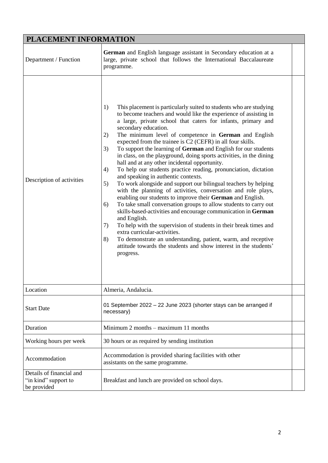| PLACEMENT INFORMATION                                           |                                                                                                                                                                                                                                                                                                                                                                                                                                                                                                                                                                                                                                                                                                                                                                                                                                                                                                                                                                                                                                                                                                                                                                                                                                                                                                                         |  |  |  |  |
|-----------------------------------------------------------------|-------------------------------------------------------------------------------------------------------------------------------------------------------------------------------------------------------------------------------------------------------------------------------------------------------------------------------------------------------------------------------------------------------------------------------------------------------------------------------------------------------------------------------------------------------------------------------------------------------------------------------------------------------------------------------------------------------------------------------------------------------------------------------------------------------------------------------------------------------------------------------------------------------------------------------------------------------------------------------------------------------------------------------------------------------------------------------------------------------------------------------------------------------------------------------------------------------------------------------------------------------------------------------------------------------------------------|--|--|--|--|
| Department / Function                                           | German and English language assistant in Secondary education at a<br>large, private school that follows the International Baccalaureate<br>programme.                                                                                                                                                                                                                                                                                                                                                                                                                                                                                                                                                                                                                                                                                                                                                                                                                                                                                                                                                                                                                                                                                                                                                                   |  |  |  |  |
| Description of activities                                       | 1)<br>This placement is particularly suited to students who are studying<br>to become teachers and would like the experience of assisting in<br>a large, private school that caters for infants, primary and<br>secondary education.<br>The minimum level of competence in German and English<br>2)<br>expected from the trainee is C2 (CEFR) in all four skills.<br>To support the learning of German and English for our students<br>3)<br>in class, on the playground, doing sports activities, in the dining<br>hall and at any other incidental opportunity.<br>To help our students practice reading, pronunciation, dictation<br>4)<br>and speaking in authentic contexts.<br>5)<br>To work alongside and support our bilingual teachers by helping<br>with the planning of activities, conversation and role plays,<br>enabling our students to improve their German and English.<br>To take small conversation groups to allow students to carry out<br>6)<br>skills-based-activities and encourage communication in German<br>and English.<br>To help with the supervision of students in their break times and<br>7)<br>extra curricular-activities.<br>8)<br>To demonstrate an understanding, patient, warm, and receptive<br>attitude towards the students and show interest in the students'<br>progress. |  |  |  |  |
| Location                                                        | Almeria, Andalucia.                                                                                                                                                                                                                                                                                                                                                                                                                                                                                                                                                                                                                                                                                                                                                                                                                                                                                                                                                                                                                                                                                                                                                                                                                                                                                                     |  |  |  |  |
| <b>Start Date</b>                                               | 01 September 2022 - 22 June 2023 (shorter stays can be arranged if<br>necessary)                                                                                                                                                                                                                                                                                                                                                                                                                                                                                                                                                                                                                                                                                                                                                                                                                                                                                                                                                                                                                                                                                                                                                                                                                                        |  |  |  |  |
| Duration                                                        | Minimum $2$ months $-$ maximum $11$ months                                                                                                                                                                                                                                                                                                                                                                                                                                                                                                                                                                                                                                                                                                                                                                                                                                                                                                                                                                                                                                                                                                                                                                                                                                                                              |  |  |  |  |
| Working hours per week                                          | 30 hours or as required by sending institution                                                                                                                                                                                                                                                                                                                                                                                                                                                                                                                                                                                                                                                                                                                                                                                                                                                                                                                                                                                                                                                                                                                                                                                                                                                                          |  |  |  |  |
| Accommodation                                                   | Accommodation is provided sharing facilities with other<br>assistants on the same programme.                                                                                                                                                                                                                                                                                                                                                                                                                                                                                                                                                                                                                                                                                                                                                                                                                                                                                                                                                                                                                                                                                                                                                                                                                            |  |  |  |  |
| Details of financial and<br>"in kind" support to<br>be provided | Breakfast and lunch are provided on school days.                                                                                                                                                                                                                                                                                                                                                                                                                                                                                                                                                                                                                                                                                                                                                                                                                                                                                                                                                                                                                                                                                                                                                                                                                                                                        |  |  |  |  |